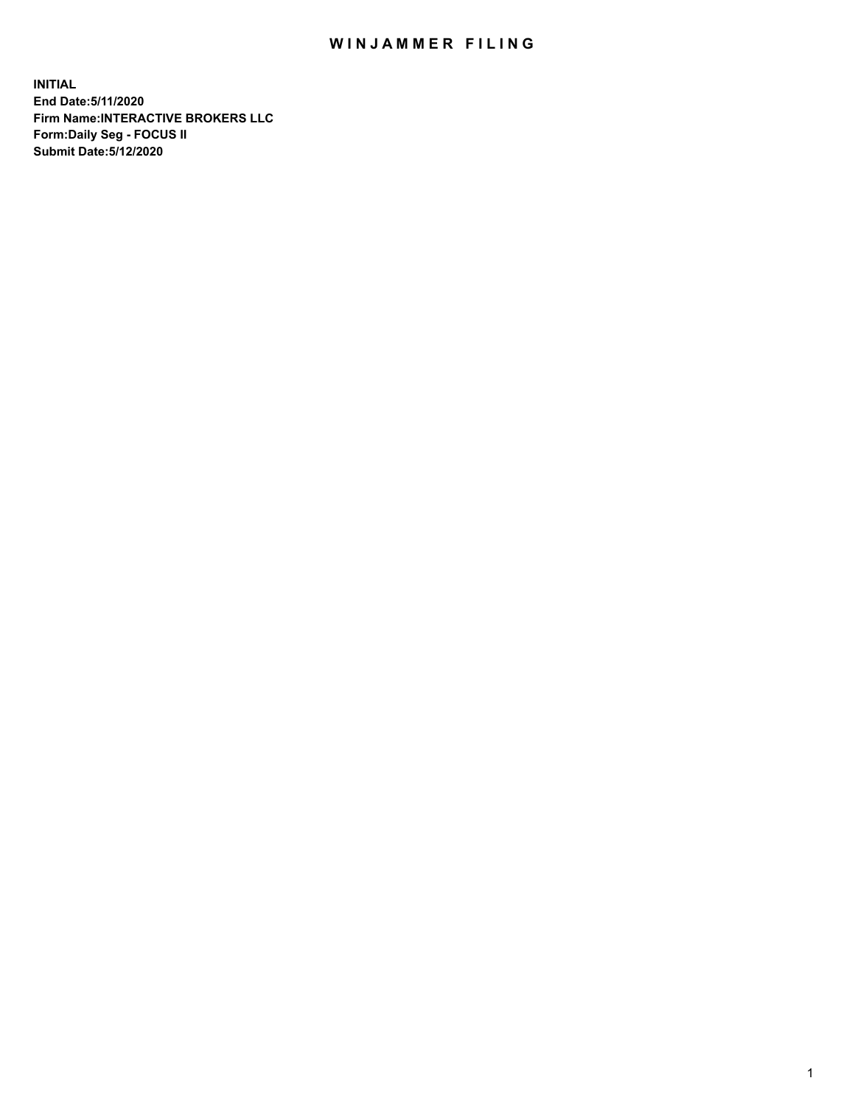## WIN JAMMER FILING

**INITIAL End Date:5/11/2020 Firm Name:INTERACTIVE BROKERS LLC Form:Daily Seg - FOCUS II Submit Date:5/12/2020**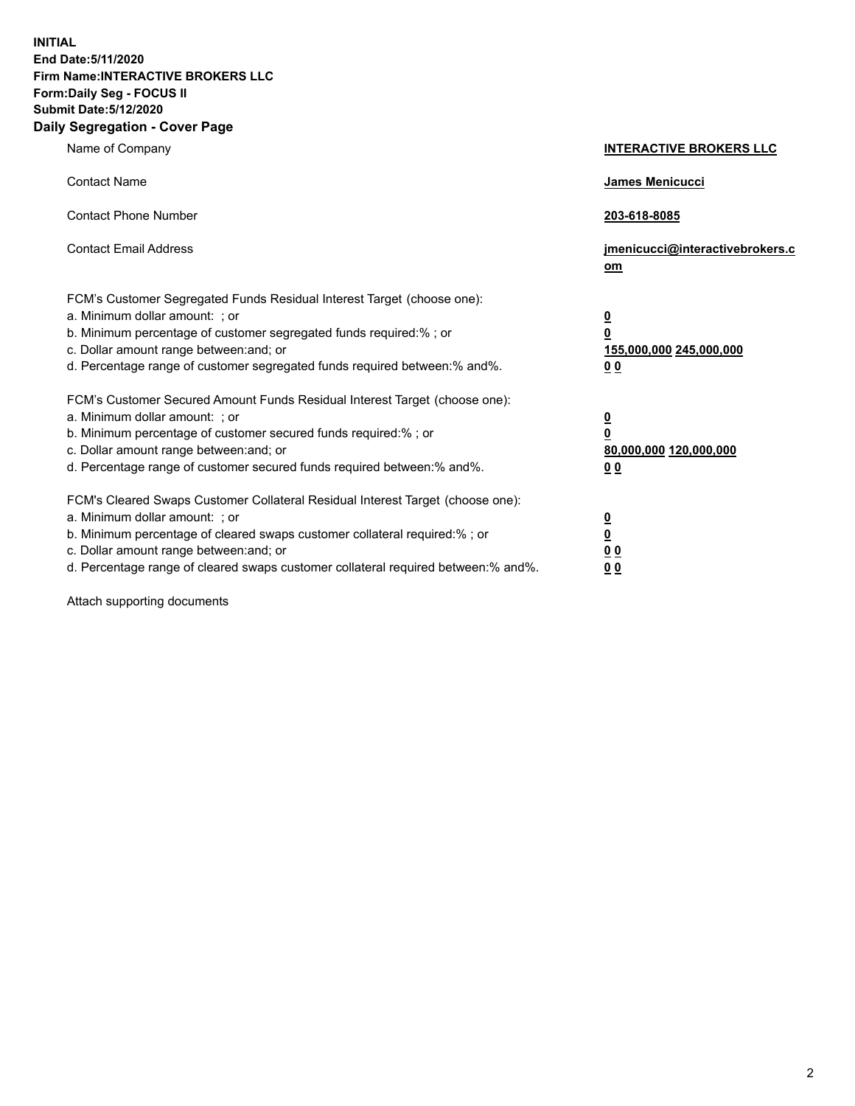**INITIAL End Date:5/11/2020 Firm Name:INTERACTIVE BROKERS LLC Form:Daily Seg - FOCUS II Submit Date:5/12/2020 Daily Segregation - Cover Page**

| Name of Company                                                                                                                                                                                                                                                                                                                | <b>INTERACTIVE BROKERS LLC</b>                                                                 |
|--------------------------------------------------------------------------------------------------------------------------------------------------------------------------------------------------------------------------------------------------------------------------------------------------------------------------------|------------------------------------------------------------------------------------------------|
| <b>Contact Name</b>                                                                                                                                                                                                                                                                                                            | <b>James Menicucci</b>                                                                         |
| <b>Contact Phone Number</b>                                                                                                                                                                                                                                                                                                    | 203-618-8085                                                                                   |
| <b>Contact Email Address</b>                                                                                                                                                                                                                                                                                                   | jmenicucci@interactivebrokers.c<br>om                                                          |
| FCM's Customer Segregated Funds Residual Interest Target (choose one):<br>a. Minimum dollar amount: ; or<br>b. Minimum percentage of customer segregated funds required:% ; or<br>c. Dollar amount range between: and; or<br>d. Percentage range of customer segregated funds required between:% and%.                         | $\overline{\mathbf{0}}$<br>$\overline{\mathbf{0}}$<br>155,000,000 245,000,000<br>00            |
| FCM's Customer Secured Amount Funds Residual Interest Target (choose one):<br>a. Minimum dollar amount: ; or<br>b. Minimum percentage of customer secured funds required:%; or<br>c. Dollar amount range between: and; or<br>d. Percentage range of customer secured funds required between:% and%.                            | $\overline{\mathbf{0}}$<br>$\overline{\mathbf{0}}$<br>80,000,000 120,000,000<br>0 <sub>0</sub> |
| FCM's Cleared Swaps Customer Collateral Residual Interest Target (choose one):<br>a. Minimum dollar amount: ; or<br>b. Minimum percentage of cleared swaps customer collateral required:% ; or<br>c. Dollar amount range between: and; or<br>d. Percentage range of cleared swaps customer collateral required between:% and%. | $\overline{\mathbf{0}}$<br><u>0</u><br>0 <sub>0</sub><br>00                                    |

Attach supporting documents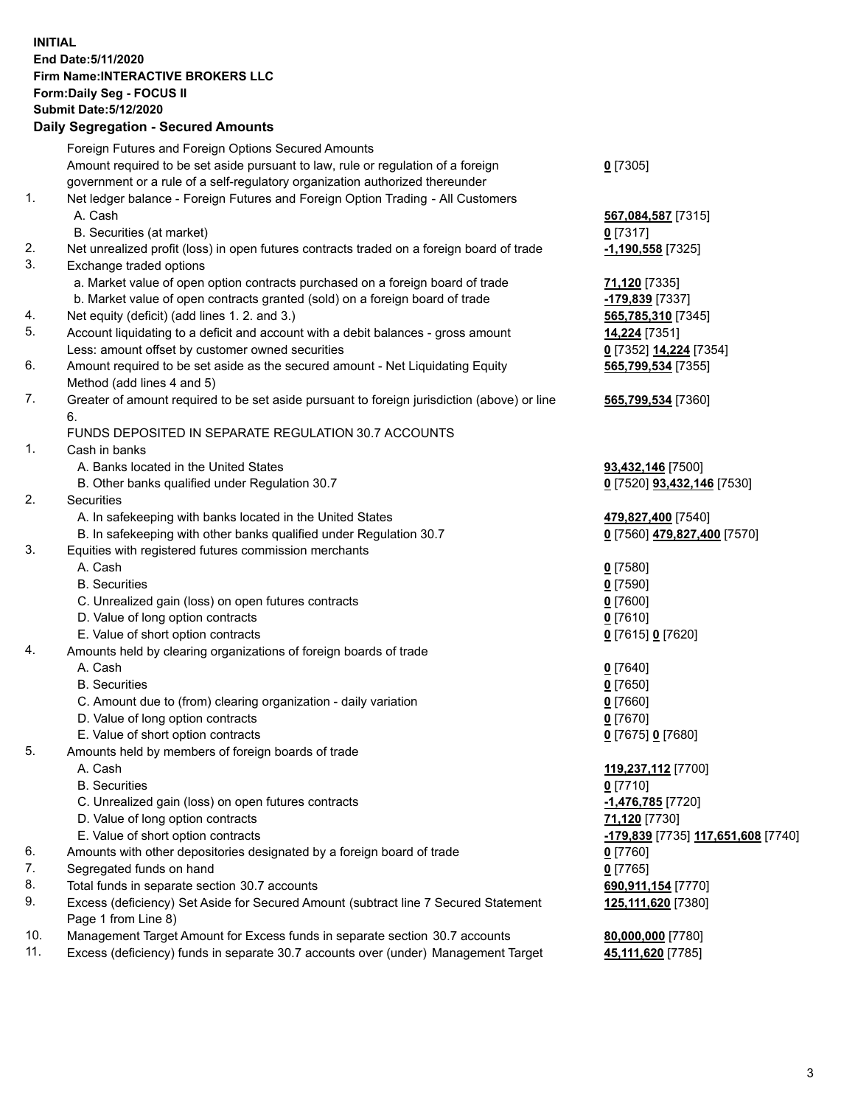## **INITIAL End Date:5/11/2020 Firm Name:INTERACTIVE BROKERS LLC Form:Daily Seg - FOCUS II Submit Date:5/12/2020 Daily Segregation - Secured Amounts**

|     | Daily Segregation - Secured Amounts                                                         |                                    |
|-----|---------------------------------------------------------------------------------------------|------------------------------------|
|     | Foreign Futures and Foreign Options Secured Amounts                                         |                                    |
|     | Amount required to be set aside pursuant to law, rule or regulation of a foreign            | $0$ [7305]                         |
|     | government or a rule of a self-regulatory organization authorized thereunder                |                                    |
| 1.  | Net ledger balance - Foreign Futures and Foreign Option Trading - All Customers             |                                    |
|     | A. Cash                                                                                     | 567,084,587 [7315]                 |
|     | B. Securities (at market)                                                                   | $0$ [7317]                         |
| 2.  | Net unrealized profit (loss) in open futures contracts traded on a foreign board of trade   | -1,190,558 [7325]                  |
| 3.  | Exchange traded options                                                                     |                                    |
|     | a. Market value of open option contracts purchased on a foreign board of trade              | 71,120 [7335]                      |
|     | b. Market value of open contracts granted (sold) on a foreign board of trade                | -179,839 [7337]                    |
| 4.  | Net equity (deficit) (add lines 1. 2. and 3.)                                               | 565,785,310 [7345]                 |
| 5.  | Account liquidating to a deficit and account with a debit balances - gross amount           | 14,224 [7351]                      |
|     | Less: amount offset by customer owned securities                                            | 0 [7352] 14,224 [7354]             |
| 6.  | Amount required to be set aside as the secured amount - Net Liquidating Equity              | 565,799,534 [7355]                 |
|     | Method (add lines 4 and 5)                                                                  |                                    |
| 7.  | Greater of amount required to be set aside pursuant to foreign jurisdiction (above) or line | 565,799,534 [7360]                 |
|     | 6.                                                                                          |                                    |
|     | FUNDS DEPOSITED IN SEPARATE REGULATION 30.7 ACCOUNTS                                        |                                    |
| 1.  | Cash in banks                                                                               |                                    |
|     | A. Banks located in the United States                                                       | 93,432,146 [7500]                  |
|     | B. Other banks qualified under Regulation 30.7                                              | 0 [7520] <b>93,432,146</b> [7530]  |
| 2.  | <b>Securities</b>                                                                           |                                    |
|     | A. In safekeeping with banks located in the United States                                   | 479,827,400 [7540]                 |
|     | B. In safekeeping with other banks qualified under Regulation 30.7                          | 0 [7560] 479,827,400 [7570]        |
| 3.  | Equities with registered futures commission merchants                                       |                                    |
|     | A. Cash                                                                                     | $0$ [7580]                         |
|     | <b>B.</b> Securities                                                                        | $0$ [7590]                         |
|     | C. Unrealized gain (loss) on open futures contracts                                         | $0$ [7600]                         |
|     | D. Value of long option contracts                                                           | $0$ [7610]                         |
|     | E. Value of short option contracts                                                          | 0 [7615] 0 [7620]                  |
| 4.  | Amounts held by clearing organizations of foreign boards of trade                           |                                    |
|     | A. Cash                                                                                     | $0$ [7640]                         |
|     | <b>B.</b> Securities                                                                        | $0$ [7650]                         |
|     | C. Amount due to (from) clearing organization - daily variation                             | $0$ [7660]                         |
|     | D. Value of long option contracts                                                           | $0$ [7670]                         |
|     | E. Value of short option contracts                                                          | 0 [7675] 0 [7680]                  |
| 5.  | Amounts held by members of foreign boards of trade                                          |                                    |
|     | A. Cash                                                                                     | 119,237,112 [7700]                 |
|     | <b>B.</b> Securities                                                                        | $0$ [7710]                         |
|     | C. Unrealized gain (loss) on open futures contracts                                         | -1,476,785 [7720]                  |
|     | D. Value of long option contracts                                                           | 71,120 [7730]                      |
|     | E. Value of short option contracts                                                          | -179,839 [7735] 117,651,608 [7740] |
| 6.  | Amounts with other depositories designated by a foreign board of trade                      | $0$ [7760]                         |
| 7.  | Segregated funds on hand                                                                    | $0$ [7765]                         |
| 8.  | Total funds in separate section 30.7 accounts                                               | 690,911,154 [7770]                 |
| 9.  | Excess (deficiency) Set Aside for Secured Amount (subtract line 7 Secured Statement         | 125,111,620 [7380]                 |
|     | Page 1 from Line 8)                                                                         |                                    |
| 10. | Management Target Amount for Excess funds in separate section 30.7 accounts                 | 80,000,000 [7780]                  |
| 11. | Excess (deficiency) funds in separate 30.7 accounts over (under) Management Target          | 45,111,620 [7785]                  |
|     |                                                                                             |                                    |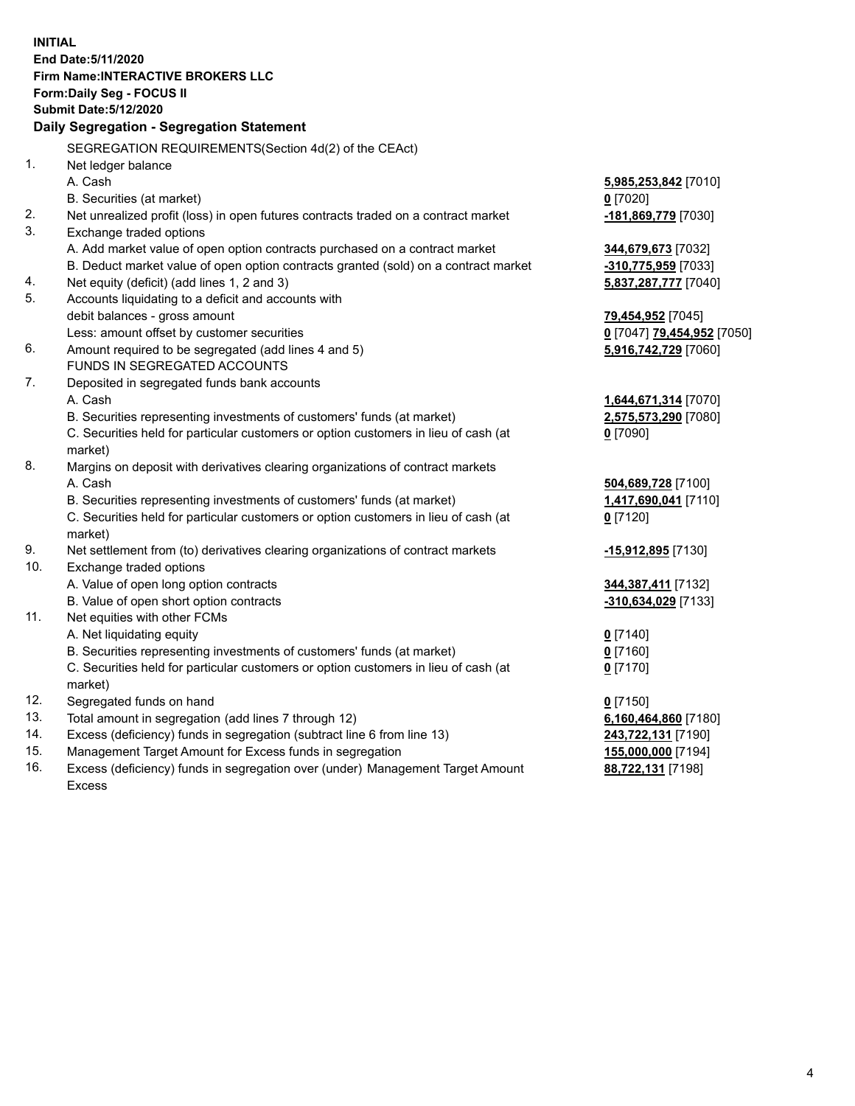**INITIAL End Date:5/11/2020 Firm Name:INTERACTIVE BROKERS LLC Form:Daily Seg - FOCUS II Submit Date:5/12/2020 Daily Segregation - Segregation Statement** SEGREGATION REQUIREMENTS(Section 4d(2) of the CEAct) 1. Net ledger balance A. Cash **5,985,253,842** [7010] B. Securities (at market) **0** [7020] 2. Net unrealized profit (loss) in open futures contracts traded on a contract market **-181,869,779** [7030] 3. Exchange traded options A. Add market value of open option contracts purchased on a contract market **344,679,673** [7032] B. Deduct market value of open option contracts granted (sold) on a contract market **-310,775,959** [7033] 4. Net equity (deficit) (add lines 1, 2 and 3) **5,837,287,777** [7040] 5. Accounts liquidating to a deficit and accounts with debit balances - gross amount **79,454,952** [7045] Less: amount offset by customer securities **0** [7047] **79,454,952** [7050] 6. Amount required to be segregated (add lines 4 and 5) **5,916,742,729** [7060] FUNDS IN SEGREGATED ACCOUNTS 7. Deposited in segregated funds bank accounts A. Cash **1,644,671,314** [7070] B. Securities representing investments of customers' funds (at market) **2,575,573,290** [7080] C. Securities held for particular customers or option customers in lieu of cash (at market) **0** [7090] 8. Margins on deposit with derivatives clearing organizations of contract markets A. Cash **504,689,728** [7100] B. Securities representing investments of customers' funds (at market) **1,417,690,041** [7110] C. Securities held for particular customers or option customers in lieu of cash (at market) **0** [7120] 9. Net settlement from (to) derivatives clearing organizations of contract markets **-15,912,895** [7130] 10. Exchange traded options A. Value of open long option contracts **344,387,411** [7132] B. Value of open short option contracts **-310,634,029** [7133] 11. Net equities with other FCMs A. Net liquidating equity **0** [7140] B. Securities representing investments of customers' funds (at market) **0** [7160] C. Securities held for particular customers or option customers in lieu of cash (at market) **0** [7170] 12. Segregated funds on hand **0** [7150] 13. Total amount in segregation (add lines 7 through 12) **6,160,464,860** [7180] 14. Excess (deficiency) funds in segregation (subtract line 6 from line 13) **243,722,131** [7190] 15. Management Target Amount for Excess funds in segregation **155,000,000** [7194] 16. Excess (deficiency) funds in segregation over (under) Management Target Amount **88,722,131** [7198]

Excess